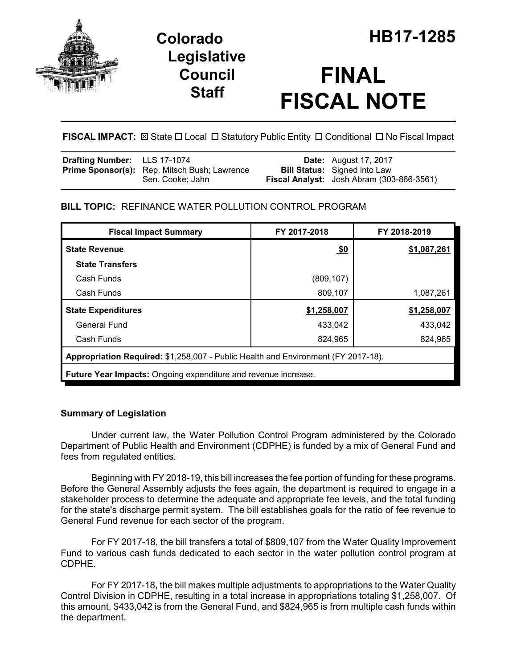

**Legislative Council Staff**

# **FINAL FISCAL NOTE**

**FISCAL IMPACT:**  $\boxtimes$  **State □ Local □ Statutory Public Entity □ Conditional □ No Fiscal Impact** 

| <b>Drafting Number:</b> LLS 17-1074 |                                                     | <b>Date:</b> August 17, 2017              |
|-------------------------------------|-----------------------------------------------------|-------------------------------------------|
|                                     | <b>Prime Sponsor(s):</b> Rep. Mitsch Bush; Lawrence | <b>Bill Status:</b> Signed into Law       |
|                                     | Sen. Cooke: Jahn                                    | Fiscal Analyst: Josh Abram (303-866-3561) |

### **BILL TOPIC:** REFINANCE WATER POLLUTION CONTROL PROGRAM

| <b>Fiscal Impact Summary</b>                                                      | FY 2017-2018 | FY 2018-2019 |  |  |  |
|-----------------------------------------------------------------------------------|--------------|--------------|--|--|--|
| <b>State Revenue</b>                                                              | <u>\$0</u>   | \$1,087,261  |  |  |  |
| <b>State Transfers</b>                                                            |              |              |  |  |  |
| Cash Funds                                                                        | (809, 107)   |              |  |  |  |
| Cash Funds                                                                        | 809,107      | 1,087,261    |  |  |  |
| <b>State Expenditures</b>                                                         | \$1,258,007  | \$1,258,007  |  |  |  |
| <b>General Fund</b>                                                               | 433.042      | 433,042      |  |  |  |
| Cash Funds                                                                        | 824,965      | 824,965      |  |  |  |
| Appropriation Required: \$1,258,007 - Public Health and Environment (FY 2017-18). |              |              |  |  |  |
| Future Year Impacts: Ongoing expenditure and revenue increase.                    |              |              |  |  |  |
|                                                                                   |              |              |  |  |  |

### **Summary of Legislation**

Under current law, the Water Pollution Control Program administered by the Colorado Department of Public Health and Environment (CDPHE) is funded by a mix of General Fund and fees from regulated entities.

Beginning with FY 2018-19, this bill increases the fee portion of funding for these programs. Before the General Assembly adjusts the fees again, the department is required to engage in a stakeholder process to determine the adequate and appropriate fee levels, and the total funding for the state's discharge permit system. The bill establishes goals for the ratio of fee revenue to General Fund revenue for each sector of the program.

For FY 2017-18, the bill transfers a total of \$809,107 from the Water Quality Improvement Fund to various cash funds dedicated to each sector in the water pollution control program at CDPHE.

For FY 2017-18, the bill makes multiple adjustments to appropriations to the Water Quality Control Division in CDPHE, resulting in a total increase in appropriations totaling \$1,258,007. Of this amount, \$433,042 is from the General Fund, and \$824,965 is from multiple cash funds within the department.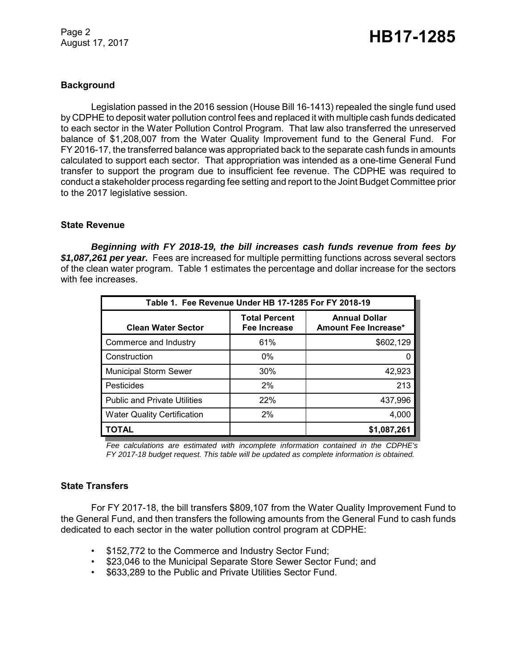Page 2

# Page 2<br>August 17, 2017 **HB17-1285**

#### **Background**

Legislation passed in the 2016 session (House Bill 16-1413) repealed the single fund used by CDPHE to deposit water pollution control fees and replaced it with multiple cash funds dedicated to each sector in the Water Pollution Control Program. That law also transferred the unreserved balance of \$1,208,007 from the Water Quality Improvement fund to the General Fund. For FY 2016-17, the transferred balance was appropriated back to the separate cash funds in amounts calculated to support each sector. That appropriation was intended as a one-time General Fund transfer to support the program due to insufficient fee revenue. The CDPHE was required to conduct a stakeholder process regarding fee setting and report to the Joint Budget Committee prior to the 2017 legislative session.

#### **State Revenue**

*Beginning with FY 2018-19, the bill increases cash funds revenue from fees by \$1,087,261 per year.* Fees are increased for multiple permitting functions across several sectors of the clean water program. Table 1 estimates the percentage and dollar increase for the sectors with fee increases.

| Table 1. Fee Revenue Under HB 17-1285 For FY 2018-19 |                                      |                                              |  |  |
|------------------------------------------------------|--------------------------------------|----------------------------------------------|--|--|
| <b>Clean Water Sector</b>                            | <b>Total Percent</b><br>Fee Increase | <b>Annual Dollar</b><br>Amount Fee Increase* |  |  |
| Commerce and Industry                                | 61%                                  | \$602,129                                    |  |  |
| Construction                                         | $0\%$                                |                                              |  |  |
| <b>Municipal Storm Sewer</b>                         | 30%                                  | 42,923                                       |  |  |
| Pesticides                                           | 2%                                   | 213                                          |  |  |
| <b>Public and Private Utilities</b>                  | 22%                                  | 437,996                                      |  |  |
| <b>Water Quality Certification</b>                   | 2%                                   | 4,000                                        |  |  |
| <b>TOTAL</b>                                         |                                      | \$1,087,261                                  |  |  |

*Fee calculations are estimated with incomplete information contained in the CDPHE's FY 2017-18 budget request. This table will be updated as complete information is obtained.*

#### **State Transfers**

For FY 2017-18, the bill transfers \$809,107 from the Water Quality Improvement Fund to the General Fund, and then transfers the following amounts from the General Fund to cash funds dedicated to each sector in the water pollution control program at CDPHE:

- \$152,772 to the Commerce and Industry Sector Fund;
- \$23,046 to the Municipal Separate Store Sewer Sector Fund; and
- \$633,289 to the Public and Private Utilities Sector Fund.